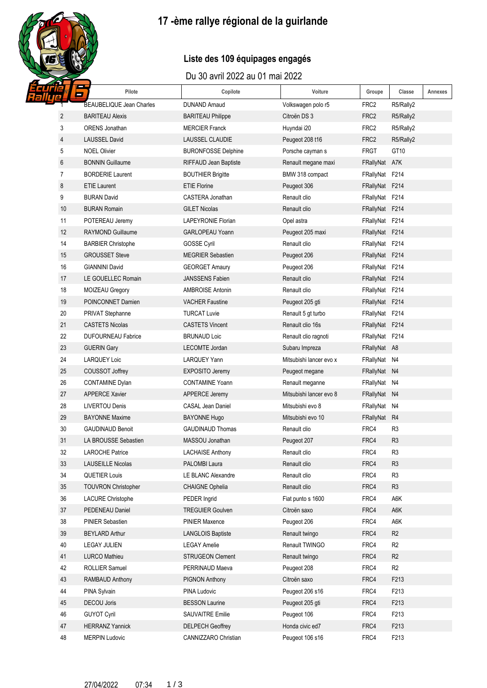# 17-ème rallye régional de la guirlande

## Liste des 109 équipages engagés

### Du 30 avril 2022 au 01 mai 2022

|                | Pilote<br>0                     | Copilote                   | Voiture                 | Groupe           | Classe         | Annexes |
|----------------|---------------------------------|----------------------------|-------------------------|------------------|----------------|---------|
|                | <b>BEAUBELIQUE Jean Charles</b> | <b>DUNAND Arnaud</b>       | Volkswagen polo r5      | FRC2             | R5/Rally2      |         |
| $\overline{2}$ | <b>BARITEAU Alexis</b>          | <b>BARITEAU Philippe</b>   | Citroën DS 3            | FRC2             | R5/Rally2      |         |
| 3              | <b>ORENS</b> Jonathan           | <b>MERCIER Franck</b>      | Huyndai i20             | FRC <sub>2</sub> | R5/Rally2      |         |
| 4              | <b>LAUSSEL David</b>            | <b>LAUSSEL CLAUDIE</b>     | Peugeot 208 t16         | FRC <sub>2</sub> | R5/Rally2      |         |
| 5              | <b>NOEL Olivier</b>             | <b>BURONFOSSE Delphine</b> | Porsche cayman s        | FRGT             | GT10           |         |
| 6              | <b>BONNIN Guillaume</b>         | RIFFAUD Jean Baptiste      | Renault megane maxi     | FRallyNat A7K    |                |         |
| 7              | <b>BORDERIE Laurent</b>         | <b>BOUTHIER Brigitte</b>   | BMW 318 compact         | FRallyNat F214   |                |         |
| 8              | <b>ETIE Laurent</b>             | <b>ETIE Florine</b>        | Peugeot 306             | FRallyNat F214   |                |         |
| 9              | <b>BURAN David</b>              | CASTERA Jonathan           | Renault clio            | FRallyNat F214   |                |         |
| 10             | <b>BURAN Romain</b>             | <b>GILET Nicolas</b>       | Renault clio            | FRallyNat F214   |                |         |
| 11             | POTEREAU Jeremy                 | <b>LAPEYRONIE Florian</b>  | Opel astra              | FRallyNat F214   |                |         |
| 12             | RAYMOND Guillaume               | GARLOPEAU Yoann            | Peugeot 205 maxi        | FRallyNat F214   |                |         |
| 14             | <b>BARBIER Christophe</b>       | <b>GOSSE Cyril</b>         | Renault clio            | FRallyNat F214   |                |         |
| 15             | <b>GROUSSET Steve</b>           | <b>MEGRIER Sebastien</b>   | Peugeot 206             | FRallyNat F214   |                |         |
| 16             | <b>GIANNINI David</b>           | <b>GEORGET Amaury</b>      | Peugeot 206             | FRallyNat F214   |                |         |
| 17             | LE GOUELLEC Romain              | <b>JANSSENS Fabien</b>     | Renault clio            | FRallyNat F214   |                |         |
| 18             | MOIZEAU Gregory                 | <b>AMBROISE Antonin</b>    | Renault clio            | FRallyNat F214   |                |         |
| 19             | POINCONNET Damien               | <b>VACHER Faustine</b>     | Peugeot 205 gti         | FRallyNat F214   |                |         |
| 20             | PRIVAT Stephanne                | <b>TURCAT Luvie</b>        | Renault 5 gt turbo      | FRallyNat F214   |                |         |
| 21             | <b>CASTETS Nicolas</b>          | <b>CASTETS Vincent</b>     | Renault clio 16s        | FRallyNat F214   |                |         |
| 22             | <b>DUFOURNEAU Fabrice</b>       | <b>BRUNAUD Loic</b>        | Renault clio ragnoti    | FRallyNat F214   |                |         |
| 23             | <b>GUERIN Gary</b>              | LECOMTE Jordan             | Subaru Impreza          | FRallyNat A8     |                |         |
| 24             | <b>LARQUEY Loic</b>             | LARQUEY Yann               | Mitsubishi lancer evo x | FRallyNat N4     |                |         |
| 25             | COUSSOT Joffrey                 | <b>EXPOSITO Jeremy</b>     | Peugeot megane          | FRallyNat N4     |                |         |
| 26             | <b>CONTAMINE Dylan</b>          | <b>CONTAMINE Yoann</b>     | Renault meganne         | FRallyNat N4     |                |         |
| 27             | <b>APPERCE Xavier</b>           | APPERCE Jeremy             | Mitsubishi lancer evo 8 | FRallyNat N4     |                |         |
| 28             | <b>LIVERTOU Denis</b>           | <b>CASAL Jean Daniel</b>   | Mitsubishi evo 8        | FRallyNat N4     |                |         |
| 29             | <b>BAYONNE Maxime</b>           | <b>BAYONNE Hugo</b>        | Mitsubishi evo 10       | FRallyNat R4     |                |         |
| 30             | <b>GAUDINAUD Benoit</b>         | <b>GAUDINAUD Thomas</b>    | Renault clio            | FRC4             | R <sub>3</sub> |         |
| 31             | LA BROUSSE Sebastien            | MASSOU Jonathan            | Peugeot 207             | FRC4             | R <sub>3</sub> |         |
| 32             | LAROCHE Patrice                 | <b>LACHAISE Anthony</b>    | Renault clio            | FRC4             | R <sub>3</sub> |         |
| 33             | <b>LAUSEILLE Nicolas</b>        | PALOMBI Laura              | Renault clio            | FRC4             | R <sub>3</sub> |         |
| 34             | <b>QUETIER Louis</b>            | <b>LE BLANC Alexandre</b>  | Renault clio            | FRC4             | R <sub>3</sub> |         |
| 35             | <b>TOUVRON Christopher</b>      | <b>CHAIGNE Ophelia</b>     | Renault clio            | FRC4             | R <sub>3</sub> |         |
| 36             | <b>LACURE Christophe</b>        | PEDER Ingrid               | Fiat punto s 1600       | FRC4             | A6K            |         |
| 37             | PEDENEAU Daniel                 | <b>TREGUIER Goulven</b>    | Citroën saxo            | FRC4             | A6K            |         |
| 38             | PINIER Sebastien                | <b>PINIER Maxence</b>      | Peugeot 206             | FRC4             | A6K            |         |
| 39             | <b>BEYLARD Arthur</b>           | <b>LANGLOIS Baptiste</b>   | Renault twingo          | FRC4             | R <sub>2</sub> |         |
| 40             | <b>LEGAY JULIEN</b>             | <b>LEGAY Amelie</b>        | Renault TWINGO          | FRC4             | R <sub>2</sub> |         |
| 41             | <b>LURCO Mathieu</b>            | <b>STRUGEON Clement</b>    | Renault twingo          | FRC4             | R <sub>2</sub> |         |
| 42             | ROLLIER Samuel                  | PERRINAUD Maeva            | Peugeot 208             | FRC4             | R <sub>2</sub> |         |
| 43             | RAMBAUD Anthony                 | <b>PIGNON Anthony</b>      | Citroën saxo            | FRC4             | F213           |         |
| 44             | PINA Sylvain                    | PINA Ludovic               | Peugeot 206 s16         | FRC4             | F213           |         |
| 45             | DECOU Joris                     | <b>BESSON Laurine</b>      | Peugeot 205 gti         | FRC4             | F213           |         |
| 46             | <b>GUYOT Cyril</b>              | SAUVAITRE Emilie           | Peugeot 106             | FRC4             | F213           |         |
| 47             | <b>HERRANZ Yannick</b>          | <b>DELPECH Geoffrey</b>    | Honda civic ed7         | FRC4             | F213           |         |
| 48             | <b>MERPIN Ludovic</b>           | CANNIZZARO Christian       | Peugeot 106 s16         | FRC4             | F213           |         |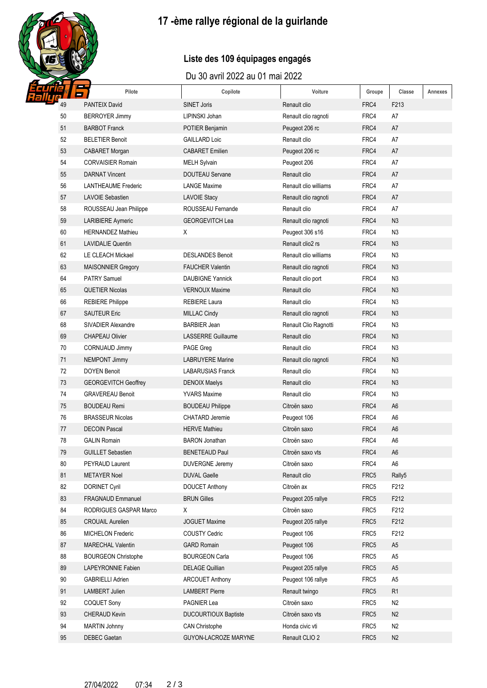# **17 -ème rallye régional de la guirlande**

## **Liste des 109 équipages engagés**

#### Du 30 avril 2022 au 01 mai 2022

|          | Pilote<br>0                                      | Copilote                                        | Voiture                        | Groupe       | Classe               | Annexes |
|----------|--------------------------------------------------|-------------------------------------------------|--------------------------------|--------------|----------------------|---------|
| 49       | <b>PANTEIX David</b>                             | <b>SINET Joris</b>                              | Renault clio                   | FRC4         | F213                 |         |
| 50       | <b>BERROYER Jimmy</b>                            | LIPINSKI Johan                                  | Renault clio ragnoti           | FRC4         | A7                   |         |
| 51       | <b>BARBOT Franck</b>                             | <b>POTIER Benjamin</b>                          | Peugeot 206 rc                 | FRC4         | A7                   |         |
| 52       | <b>BELETIER Benoit</b>                           | <b>GAILLARD Loic</b>                            | Renault clio                   | FRC4         | A7                   |         |
| 53       | <b>CABARET Morgan</b>                            | <b>CABARET</b> Emilien                          | Peugeot 206 rc                 | FRC4         | A7                   |         |
| 54       | <b>CORVAISIER Romain</b>                         | <b>MELH Sylvain</b>                             | Peugeot 206                    | FRC4         | A7                   |         |
| 55       | <b>DARNAT Vincent</b>                            | <b>DOUTEAU Servane</b>                          | Renault clio                   | FRC4         | A7                   |         |
| 56       | <b>LANTHEAUME Frederic</b>                       | <b>LANGE Maxime</b>                             | Renault clio williams          | FRC4         | A7                   |         |
| 57       | <b>LAVOIE Sebastien</b>                          | <b>LAVOIE Stacy</b>                             | Renault clio ragnoti           | FRC4         | A7                   |         |
| 58       | ROUSSEAU Jean Philippe                           | ROUSSEAU Fernande                               | Renault clio                   | FRC4         | A7                   |         |
| 59       | LARIBIERE Aymeric                                | <b>GEORGEVITCH Lea</b>                          | Renault clio ragnoti           | FRC4         | N <sub>3</sub>       |         |
| 60       | <b>HERNANDEZ Mathieu</b>                         | Χ                                               | Peugeot 306 s16                | FRC4         | N <sub>3</sub>       |         |
| 61       | <b>LAVIDALIE Quentin</b>                         |                                                 | Renault clio2 rs               | FRC4         | N <sub>3</sub>       |         |
| 62       | LE CLEACH Mickael                                | <b>DESLANDES Benoit</b>                         | Renault clio williams          | FRC4         | N <sub>3</sub>       |         |
| 63       | <b>MAISONNIER Gregory</b>                        | <b>FAUCHER Valentin</b>                         | Renault clio ragnoti           | FRC4         | N <sub>3</sub>       |         |
| 64       | <b>PATRY Samuel</b>                              | <b>DAUBIGNE Yannick</b>                         | Renault clio port              | FRC4         | N <sub>3</sub>       |         |
| 65       | <b>QUETIER Nicolas</b>                           | <b>VERNOUX Maxime</b>                           | Renault clio                   | FRC4         | N <sub>3</sub>       |         |
| 66       | <b>REBIERE Philippe</b>                          | <b>REBIERE Laura</b>                            | Renault clio                   | FRC4         | N <sub>3</sub>       |         |
| 67       | <b>SAUTEUR Eric</b>                              | <b>MILLAC Cindy</b>                             | Renault clio ragnoti           | FRC4         | N <sub>3</sub>       |         |
| 68       | SIVADIER Alexandre                               | <b>BARBIER Jean</b>                             | Renault Clio Ragnotti          | FRC4         | N <sub>3</sub>       |         |
| 69       | <b>CHAPEAU Olivier</b>                           | <b>LASSERRE Guillaume</b>                       | Renault clio                   | FRC4         | N <sub>3</sub>       |         |
| 70       | <b>CORNUAUD Jimmy</b>                            | PAGE Greg                                       | Renault clio                   | FRC4         | N <sub>3</sub>       |         |
| 71       | <b>NEMPONT Jimmy</b>                             | <b>LABRUYERE Marine</b>                         | Renault clio ragnoti           | FRC4         | N <sub>3</sub>       |         |
| 72       | <b>DOYEN Benoit</b>                              | <b>LABARUSIAS Franck</b>                        | Renault clio                   | FRC4         | N <sub>3</sub>       |         |
| 73       | <b>GEORGEVITCH Geoffrey</b>                      | <b>DENOIX Maelys</b>                            | Renault clio                   | FRC4         | N <sub>3</sub>       |         |
| 74       | <b>GRAVEREAU Benoit</b>                          | <b>YVARS Maxime</b>                             | Renault clio                   | FRC4         | N <sub>3</sub>       |         |
| 75       | <b>BOUDEAU Remi</b>                              | <b>BOUDEAU Philippe</b>                         | Citroën saxo                   | FRC4         | A <sub>6</sub>       |         |
| 76       | <b>BRASSEUR Nicolas</b>                          | <b>CHATARD Jeremie</b>                          | Peugeot 106                    | FRC4         | A <sub>6</sub>       |         |
| 77       | <b>DECOIN Pascal</b>                             | <b>HERVE Mathieu</b>                            | Citroën saxo                   | FRC4         | A <sub>6</sub>       |         |
| 78       | <b>GALIN Romain</b>                              | <b>BARON</b> Jonathan                           | Citroën saxo                   | FRC4         | A <sub>6</sub>       |         |
| 79       | <b>GUILLET Sebastien</b>                         | <b>BENETEAUD Paul</b>                           | Citroën saxo vts               | FRC4         | A <sub>6</sub>       |         |
| 80       | PEYRAUD Laurent                                  | <b>DUVERGNE Jeremy</b>                          | Citroën saxo                   | FRC4         | A <sub>6</sub>       |         |
| 81       | <b>METAYER Noel</b>                              | <b>DUVAL Gaelle</b>                             | Renault clio                   | FRC5         | Rally5               |         |
| 82       | <b>DORINET Cyril</b>                             | <b>DOUCET Anthony</b>                           | Citroën ax                     | FRC5         | F212                 |         |
| 83       | FRAGNAUD Emmanuel                                | <b>BRUN Gilles</b>                              | Peugeot 205 rallye             | FRC5         | F212                 |         |
| 84       | RODRIGUES GASPAR Marco                           | X                                               | Citroën saxo                   | FRC5         | F212                 |         |
| 85       | <b>CROUAIL Aurelien</b>                          | <b>JOGUET Maxime</b>                            | Peugeot 205 rallye             | FRC5         | F212                 |         |
| 86       | MICHELON Frederic                                | <b>COUSTY Cedric</b>                            | Peugeot 106                    | FRC5         | F212                 |         |
| 87       | <b>MARECHAL Valentin</b>                         | <b>GARD Romain</b>                              | Peugeot 106                    | FRC5         | A <sub>5</sub>       |         |
| 88       | <b>BOURGEON Christophe</b>                       | <b>BOURGEON Carla</b>                           | Peugeot 106                    | FRC5         | A <sub>5</sub>       |         |
| 89       | LAPEYRONNIE Fabien                               | <b>DELAGE Quillian</b>                          | Peugeot 205 rallye             | FRC5         | A <sub>5</sub>       |         |
| 90<br>91 | <b>GABRIELLI Adrien</b><br><b>LAMBERT Julien</b> | <b>ARCOUET Anthony</b><br><b>LAMBERT Pierre</b> | Peugeot 106 rallye             | FRC5<br>FRC5 | A <sub>5</sub>       |         |
| 92       | <b>COQUET Sony</b>                               | PAGNIER Lea                                     | Renault twingo<br>Citroën saxo | FRC5         | R1<br>N <sub>2</sub> |         |
| 93       | CHERAUD Kevin                                    | <b>DUCOURTIOUX Baptiste</b>                     | Citroën saxo vts               | FRC5         | N2                   |         |
| 94       | <b>MARTIN Johnny</b>                             | <b>CAN Christophe</b>                           | Honda civic vti                | FRC5         | N <sub>2</sub>       |         |
| 95       | <b>DEBEC Gaetan</b>                              | GUYON-LACROZE MARYNE                            | Renault CLIO 2                 | FRC5         | N2                   |         |
|          |                                                  |                                                 |                                |              |                      |         |